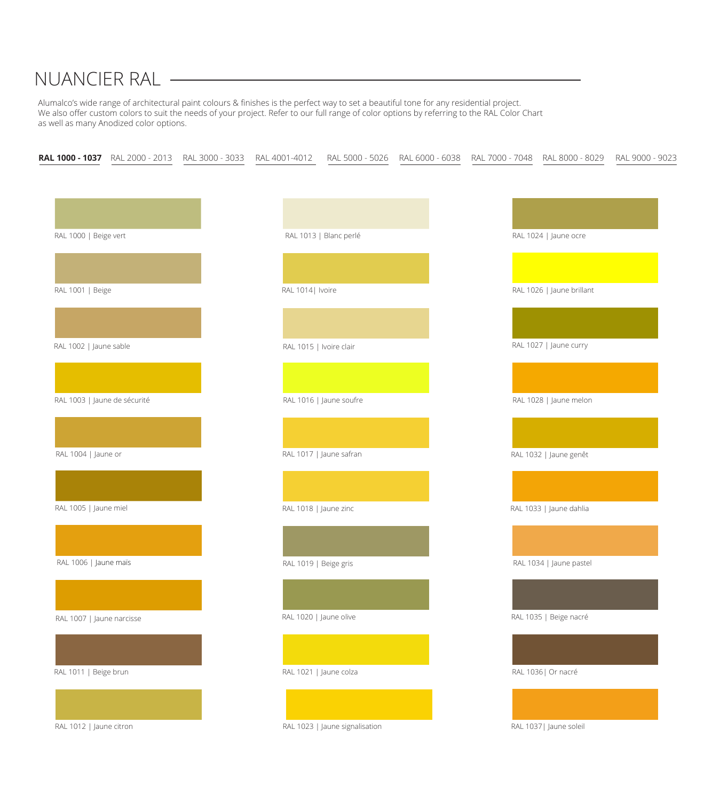## NUANCIER RAL



Alumalco's wide range of architectural paint colours & finishes is the perfect way to set a beautiful tone for any residential project. We also offer custom colors to suit the needs of your project. Refer to our full range of color options by referring to the RAL Color Chart as well as many Anodized color options.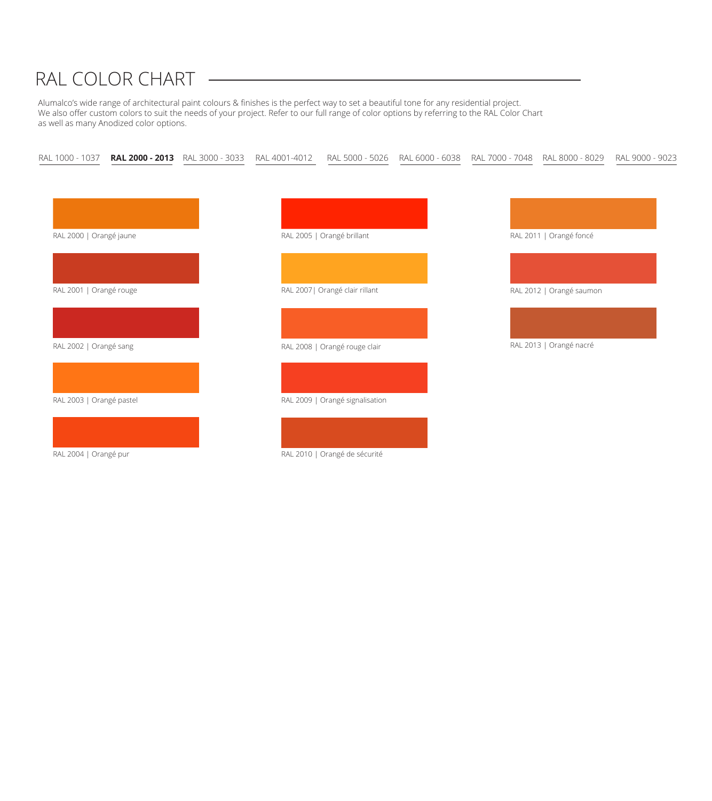

Alumalco's wide range of architectural paint colours & finishes is the perfect way to set a beautiful tone for any residential project. We also offer custom colors to suit the needs of your project. Refer to our full range of color options by referring to the RAL Color Chart as well as many Anodized color options.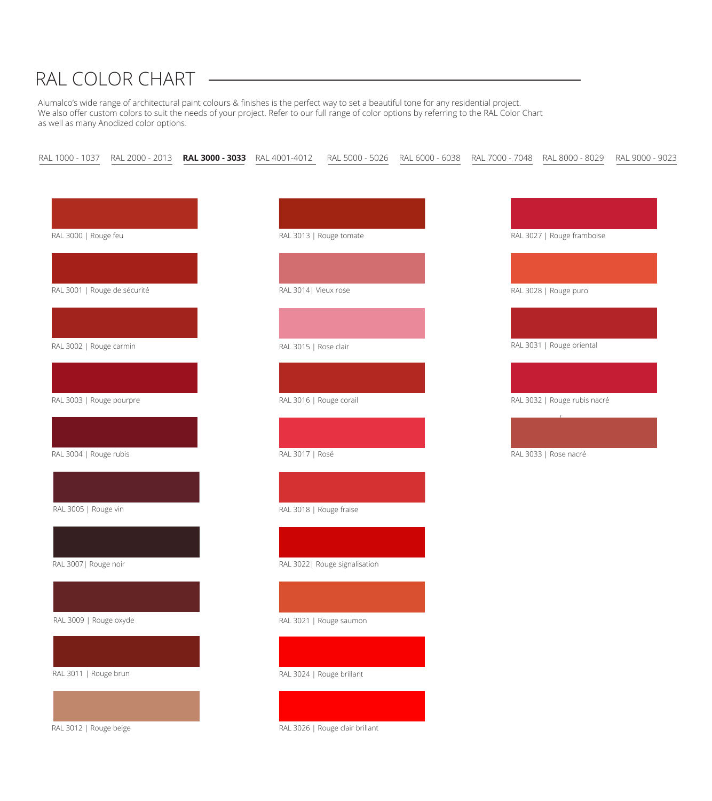### RAL 3018 | Rouge fraise



## RAL 3022| Rouge signalisation



### RAL 3021 | Rouge saumon



### RAL 3024 | Rouge brillant



### RAL 3026 | Rouge clair brillant







### RAL 3007| Rouge noir



RAL 3009 | Rouge oxyde



RAL 3011 | Rouge brun



RAL 3012 | Rouge beige

## RAL COLOR CHART

Alumalco's wide range of architectural paint colours & finishes is the perfect way to set a beautiful tone for any residential project. We also offer custom colors to suit the needs of your project. Refer to our full range of color options by referring to the RAL Color Chart as well as many Anodized color options.

|  |  |  |  | RAL 1000 - 1037 RAL 2000 - 2013 <b>RAL 3000 - 3033</b> RAL 4001-4012 RAL 5000 - 5026 RAL 6000 - 6038 RAL 7000 - 7048 RAL 8000 - 8029 RAL 9000 - 9023 |  |  |  |  |
|--|--|--|--|------------------------------------------------------------------------------------------------------------------------------------------------------|--|--|--|--|
|--|--|--|--|------------------------------------------------------------------------------------------------------------------------------------------------------|--|--|--|--|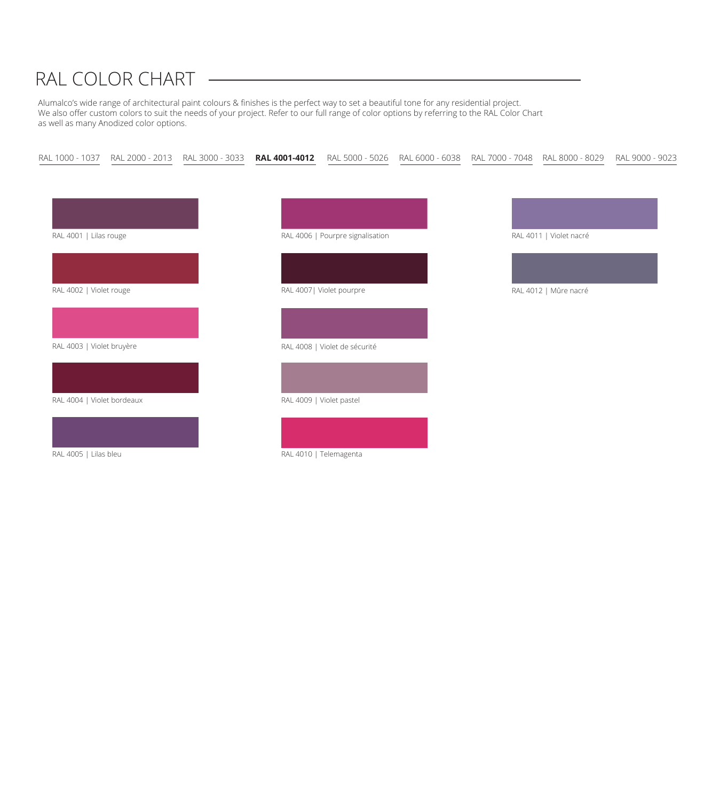

Alumalco's wide range of architectural paint colours & finishes is the perfect way to set a beautiful tone for any residential project. We also offer custom colors to suit the needs of your project. Refer to our full range of color options by referring to the RAL Color Chart as well as many Anodized color options.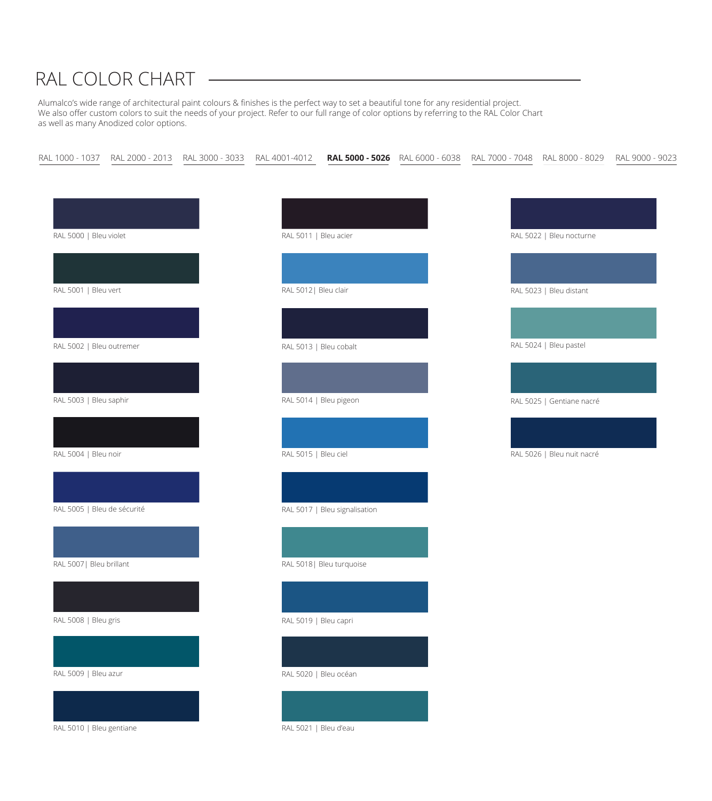RAL 5021 | Bleu d'eau



## RAL COLOR CHART

Alumalco's wide range of architectural paint colours & finishes is the perfect way to set a beautiful tone for any residential project. We also offer custom colors to suit the needs of your project. Refer to our full range of color options by referring to the RAL Color Chart as well as many Anodized color options.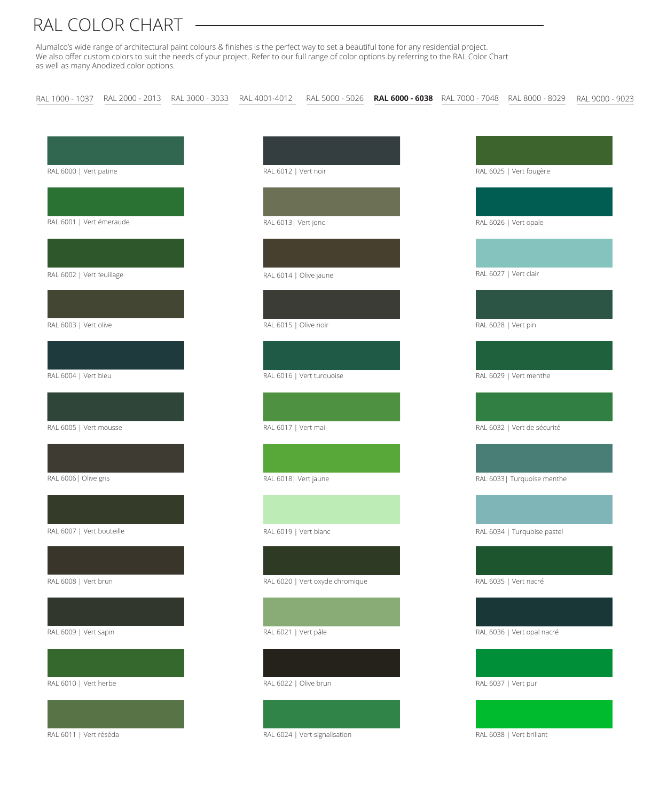Alumalco's wide range of architectural paint colours & finishes is the perfect way to set a beautiful tone for any residential project. We also offer custom colors to suit the needs of your project. Refer to our full range of color options by referring to the RAL Color Chart as well as many Anodized color options.

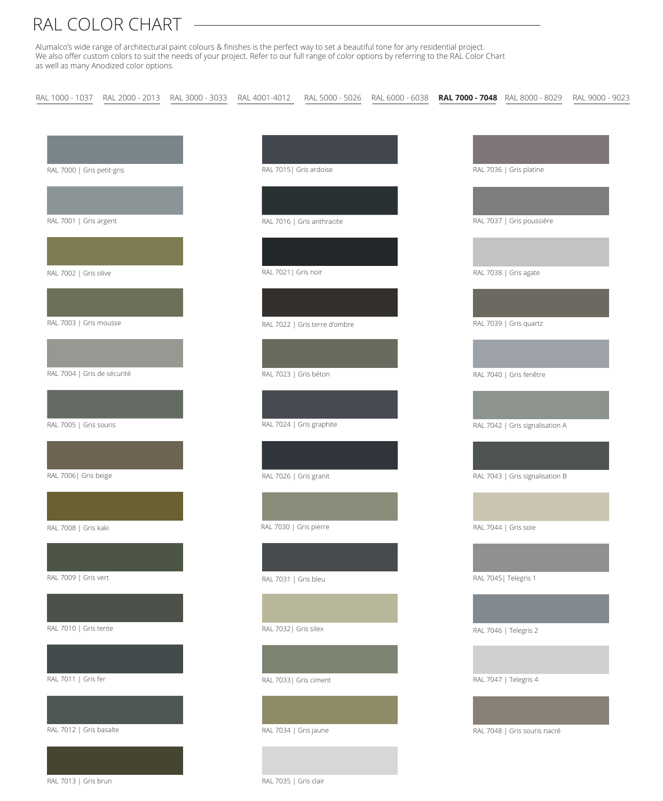Alumalco's wide range of architectural paint colours & finishes is the perfect way to set a beautiful tone for any residential project. We also offer custom colors to suit the needs of your project. Refer to our full range of color options by referring to the RAL Color Chart as well as many Anodized color options.

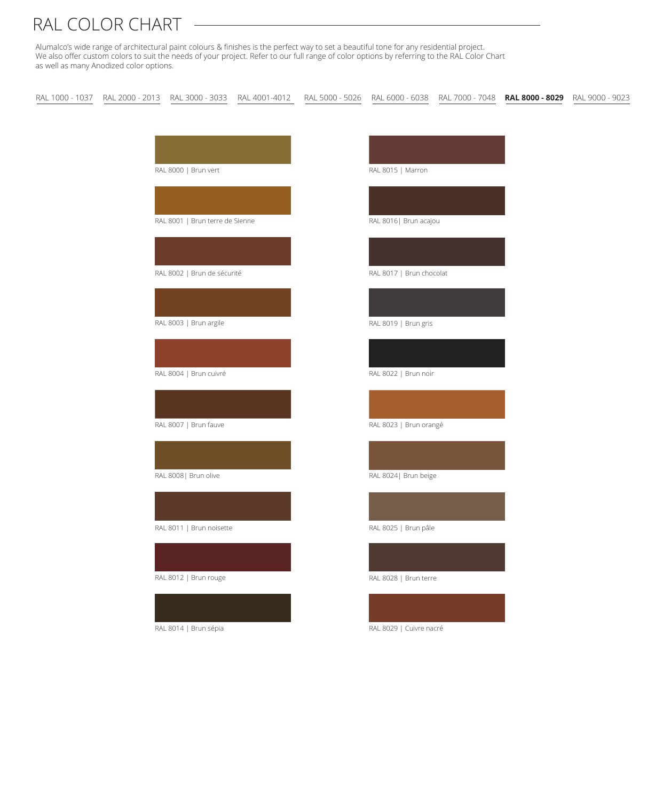Alumalco's wide range of architectural paint colours & finishes is the perfect way to set a beautiful tone for any residential project. We also offer custom colors to suit the needs of your project. Refer to our full range of color options by referring to the RAL Color Chart as well as many Anodized color options.

RAL 1000 - 1037 RAL 2000 - 2013 RAL 3000 - 3033 RAL 4001-4012 RAL 5000 - 5026 RAL 6000 - 6038 RAL 7000 - 7048 **RAL 8000 - 8029** RAL 9000 - 9023

RAL 8000 | Brun vert

RAL 8001 | Brun terre de Sienne



RAL 8002 | Brun de sécurité



RAL 8003 | Brun argile





RAL 8007 | Brun fauve

### RAL 8008| Brun olive

RAL 8011 | Brun noisette

RAL 8012 | Brun rouge



RAL 8014 | Brun sépia



RAL 8016| Brun acajou

RAL 8017 | Brun chocolat

RAL 8019 | Brun gris

RAL 8022 | Brun noir

RAL 8023 | Brun orangé

RAL 8024| Brun beige

RAL 8025 | Brun pâle

RAL 8028 | Brun terre

RAL 8029 | Cuivre nacré